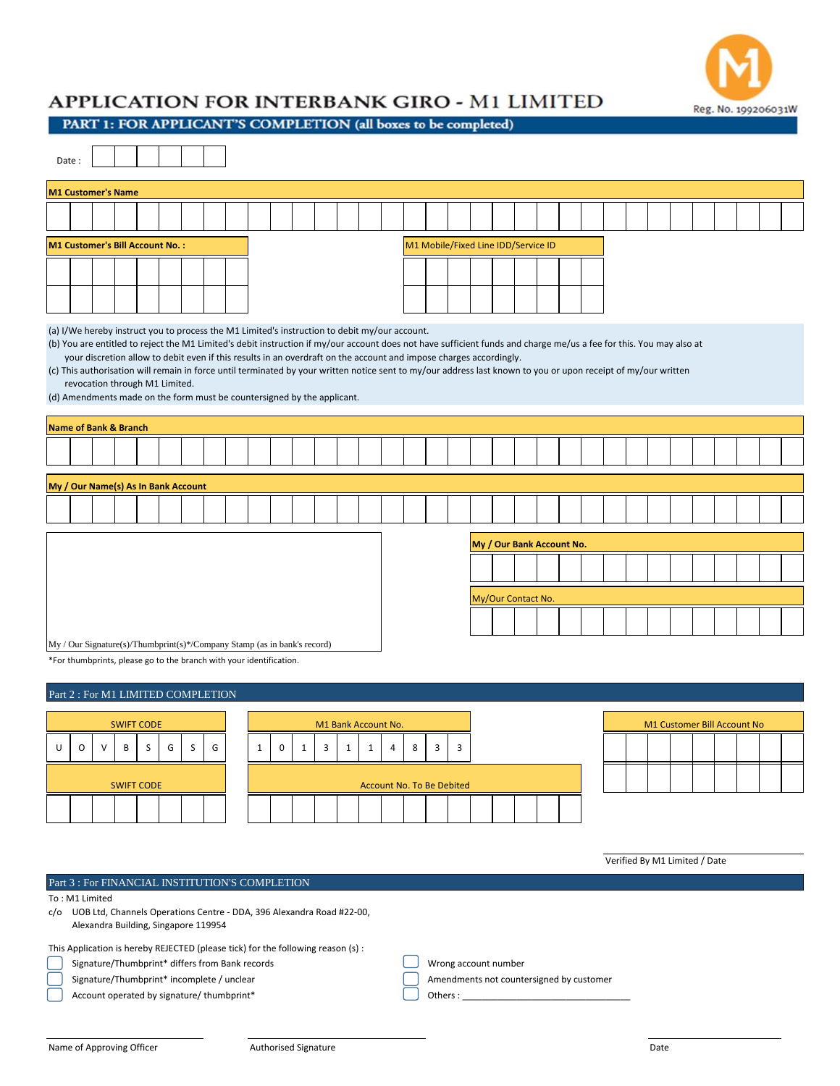

## APPLICATION FOR INTERBANK GIRO - M1 LIMITED

PART 1: FOR APPLICANT'S COMPLETION (all boxes to be completed)

|                                                                                                                                                                                                                                                                                                                                                                                                                                                                                                                                                                                                                                                                           | Date:   |   |                                     |   |                |   |                                    |                     |              |             |              |                         |                           |                                     |                |                           |                         |   |  |  |  |  |  |  |                             |  |  |  |  |  |  |  |  |
|---------------------------------------------------------------------------------------------------------------------------------------------------------------------------------------------------------------------------------------------------------------------------------------------------------------------------------------------------------------------------------------------------------------------------------------------------------------------------------------------------------------------------------------------------------------------------------------------------------------------------------------------------------------------------|---------|---|-------------------------------------|---|----------------|---|------------------------------------|---------------------|--------------|-------------|--------------|-------------------------|---------------------------|-------------------------------------|----------------|---------------------------|-------------------------|---|--|--|--|--|--|--|-----------------------------|--|--|--|--|--|--|--|--|
|                                                                                                                                                                                                                                                                                                                                                                                                                                                                                                                                                                                                                                                                           |         |   | <b>M1 Customer's Name</b>           |   |                |   |                                    |                     |              |             |              |                         |                           |                                     |                |                           |                         |   |  |  |  |  |  |  |                             |  |  |  |  |  |  |  |  |
|                                                                                                                                                                                                                                                                                                                                                                                                                                                                                                                                                                                                                                                                           |         |   |                                     |   |                |   |                                    |                     |              |             |              |                         |                           |                                     |                |                           |                         |   |  |  |  |  |  |  |                             |  |  |  |  |  |  |  |  |
| M1 Customer's Bill Account No. :                                                                                                                                                                                                                                                                                                                                                                                                                                                                                                                                                                                                                                          |         |   |                                     |   |                |   |                                    |                     |              |             |              |                         |                           | M1 Mobile/Fixed Line IDD/Service ID |                |                           |                         |   |  |  |  |  |  |  |                             |  |  |  |  |  |  |  |  |
|                                                                                                                                                                                                                                                                                                                                                                                                                                                                                                                                                                                                                                                                           |         |   |                                     |   |                |   |                                    |                     |              |             |              |                         |                           |                                     |                |                           |                         |   |  |  |  |  |  |  |                             |  |  |  |  |  |  |  |  |
|                                                                                                                                                                                                                                                                                                                                                                                                                                                                                                                                                                                                                                                                           |         |   |                                     |   |                |   |                                    |                     |              |             |              |                         |                           |                                     |                |                           |                         |   |  |  |  |  |  |  |                             |  |  |  |  |  |  |  |  |
| (a) I/We hereby instruct you to process the M1 Limited's instruction to debit my/our account.<br>(b) You are entitled to reject the M1 Limited's debit instruction if my/our account does not have sufficient funds and charge me/us a fee for this. You may also at<br>your discretion allow to debit even if this results in an overdraft on the account and impose charges accordingly.<br>(c) This authorisation will remain in force until terminated by your written notice sent to my/our address last known to you or upon receipt of my/our written<br>revocation through M1 Limited.<br>(d) Amendments made on the form must be countersigned by the applicant. |         |   |                                     |   |                |   |                                    |                     |              |             |              |                         |                           |                                     |                |                           |                         |   |  |  |  |  |  |  |                             |  |  |  |  |  |  |  |  |
| <b>Name of Bank &amp; Branch</b>                                                                                                                                                                                                                                                                                                                                                                                                                                                                                                                                                                                                                                          |         |   |                                     |   |                |   |                                    |                     |              |             |              |                         |                           |                                     |                |                           |                         |   |  |  |  |  |  |  |                             |  |  |  |  |  |  |  |  |
|                                                                                                                                                                                                                                                                                                                                                                                                                                                                                                                                                                                                                                                                           |         |   |                                     |   |                |   |                                    |                     |              |             |              |                         |                           |                                     |                |                           |                         |   |  |  |  |  |  |  |                             |  |  |  |  |  |  |  |  |
|                                                                                                                                                                                                                                                                                                                                                                                                                                                                                                                                                                                                                                                                           |         |   |                                     |   |                |   |                                    |                     |              |             |              |                         |                           |                                     |                |                           |                         |   |  |  |  |  |  |  |                             |  |  |  |  |  |  |  |  |
|                                                                                                                                                                                                                                                                                                                                                                                                                                                                                                                                                                                                                                                                           |         |   | My / Our Name(s) As In Bank Account |   |                |   |                                    |                     |              |             |              |                         |                           |                                     |                |                           |                         |   |  |  |  |  |  |  |                             |  |  |  |  |  |  |  |  |
|                                                                                                                                                                                                                                                                                                                                                                                                                                                                                                                                                                                                                                                                           |         |   |                                     |   |                |   |                                    |                     |              |             |              |                         |                           |                                     |                |                           |                         |   |  |  |  |  |  |  |                             |  |  |  |  |  |  |  |  |
|                                                                                                                                                                                                                                                                                                                                                                                                                                                                                                                                                                                                                                                                           |         |   |                                     |   |                |   |                                    |                     |              |             |              |                         |                           |                                     |                | My / Our Bank Account No. |                         |   |  |  |  |  |  |  |                             |  |  |  |  |  |  |  |  |
|                                                                                                                                                                                                                                                                                                                                                                                                                                                                                                                                                                                                                                                                           |         |   |                                     |   |                |   |                                    |                     |              |             |              |                         |                           |                                     |                |                           |                         |   |  |  |  |  |  |  |                             |  |  |  |  |  |  |  |  |
|                                                                                                                                                                                                                                                                                                                                                                                                                                                                                                                                                                                                                                                                           |         |   |                                     |   |                |   |                                    |                     |              |             |              |                         |                           |                                     |                |                           | My/Our Contact No.      |   |  |  |  |  |  |  |                             |  |  |  |  |  |  |  |  |
|                                                                                                                                                                                                                                                                                                                                                                                                                                                                                                                                                                                                                                                                           |         |   |                                     |   |                |   |                                    |                     |              |             |              |                         |                           |                                     |                |                           |                         |   |  |  |  |  |  |  |                             |  |  |  |  |  |  |  |  |
|                                                                                                                                                                                                                                                                                                                                                                                                                                                                                                                                                                                                                                                                           |         |   |                                     |   |                |   |                                    |                     |              |             |              |                         |                           |                                     |                |                           |                         |   |  |  |  |  |  |  |                             |  |  |  |  |  |  |  |  |
| My / Our Signature(s)/Thumbprint(s)*/Company Stamp (as in bank's record)<br>*For thumbprints, please go to the branch with your identification.                                                                                                                                                                                                                                                                                                                                                                                                                                                                                                                           |         |   |                                     |   |                |   |                                    |                     |              |             |              |                         |                           |                                     |                |                           |                         |   |  |  |  |  |  |  |                             |  |  |  |  |  |  |  |  |
|                                                                                                                                                                                                                                                                                                                                                                                                                                                                                                                                                                                                                                                                           |         |   |                                     |   |                |   |                                    |                     |              |             |              |                         |                           |                                     |                |                           |                         |   |  |  |  |  |  |  |                             |  |  |  |  |  |  |  |  |
|                                                                                                                                                                                                                                                                                                                                                                                                                                                                                                                                                                                                                                                                           |         |   |                                     |   |                |   | Part 2 : For M1 LIMITED COMPLETION |                     |              |             |              |                         |                           |                                     |                |                           |                         |   |  |  |  |  |  |  |                             |  |  |  |  |  |  |  |  |
| <b>SWIFT CODE</b>                                                                                                                                                                                                                                                                                                                                                                                                                                                                                                                                                                                                                                                         |         |   |                                     |   |                |   |                                    | M1 Bank Account No. |              |             |              |                         |                           |                                     |                |                           |                         |   |  |  |  |  |  |  | M1 Customer Bill Account No |  |  |  |  |  |  |  |  |
| U                                                                                                                                                                                                                                                                                                                                                                                                                                                                                                                                                                                                                                                                         | $\circ$ | V | B                                   | S | $\mathsf{G}^-$ | S | G                                  |                     | $\mathbf{1}$ | $\mathsf 0$ | $\mathbf{1}$ | $\overline{\mathbf{3}}$ | $1 \mid$                  | $\mathbf{1}$                        | $\overline{4}$ | 8                         | $\overline{\mathbf{3}}$ | 3 |  |  |  |  |  |  |                             |  |  |  |  |  |  |  |  |
|                                                                                                                                                                                                                                                                                                                                                                                                                                                                                                                                                                                                                                                                           |         |   |                                     |   |                |   |                                    |                     |              |             |              |                         |                           |                                     |                |                           |                         |   |  |  |  |  |  |  |                             |  |  |  |  |  |  |  |  |
| <b>SWIFT CODE</b>                                                                                                                                                                                                                                                                                                                                                                                                                                                                                                                                                                                                                                                         |         |   |                                     |   |                |   |                                    |                     |              |             |              |                         | Account No. To Be Debited |                                     |                |                           |                         |   |  |  |  |  |  |  |                             |  |  |  |  |  |  |  |  |
|                                                                                                                                                                                                                                                                                                                                                                                                                                                                                                                                                                                                                                                                           |         |   |                                     |   |                |   |                                    |                     |              |             |              |                         |                           |                                     |                |                           |                         |   |  |  |  |  |  |  |                             |  |  |  |  |  |  |  |  |
|                                                                                                                                                                                                                                                                                                                                                                                                                                                                                                                                                                                                                                                                           |         |   |                                     |   |                |   |                                    |                     |              |             |              |                         |                           |                                     |                |                           |                         |   |  |  |  |  |  |  |                             |  |  |  |  |  |  |  |  |

## Part 3 : For FINANCIAL INSTITUTION'S COMPLETION

To : M1 Limited

c/o UOB Ltd, Channels Operations Centre - DDA, 396 Alexandra Road #22-00, Alexandra Building, Singapore 119954

This Application is hereby REJECTED (please tick) for the following reason (s) :

Signature/Thumbprint\* differs from Bank records Wrong account number

Account operated by signature/ thumbprint\*  $\Box$  Others : \_

Signature/Thumbprint\* incomplete / unclear Amendments not countersigned by customer